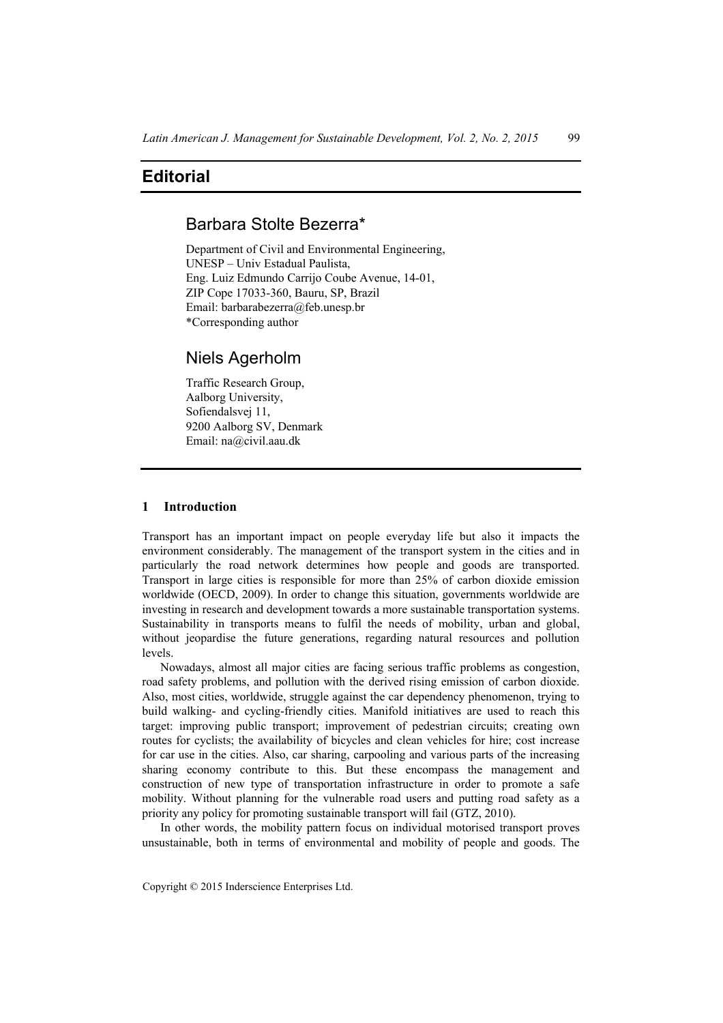# **Editorial**

## Barbara Stolte Bezerra\*

Department of Civil and Environmental Engineering, UNESP – Univ Estadual Paulista, Eng. Luiz Edmundo Carrijo Coube Avenue, 14-01, ZIP Cope 17033-360, Bauru, SP, Brazil Email: barbarabezerra@feb.unesp.br \*Corresponding author

## Niels Agerholm

Traffic Research Group, Aalborg University, Sofiendalsvej 11, 9200 Aalborg SV, Denmark Email: na@civil.aau.dk

### **1 Introduction**

Transport has an important impact on people everyday life but also it impacts the environment considerably. The management of the transport system in the cities and in particularly the road network determines how people and goods are transported. Transport in large cities is responsible for more than 25% of carbon dioxide emission worldwide (OECD, 2009). In order to change this situation, governments worldwide are investing in research and development towards a more sustainable transportation systems. Sustainability in transports means to fulfil the needs of mobility, urban and global, without jeopardise the future generations, regarding natural resources and pollution levels.

Nowadays, almost all major cities are facing serious traffic problems as congestion, road safety problems, and pollution with the derived rising emission of carbon dioxide. Also, most cities, worldwide, struggle against the car dependency phenomenon, trying to build walking- and cycling-friendly cities. Manifold initiatives are used to reach this target: improving public transport; improvement of pedestrian circuits; creating own routes for cyclists; the availability of bicycles and clean vehicles for hire; cost increase for car use in the cities. Also, car sharing, carpooling and various parts of the increasing sharing economy contribute to this. But these encompass the management and construction of new type of transportation infrastructure in order to promote a safe mobility. Without planning for the vulnerable road users and putting road safety as a priority any policy for promoting sustainable transport will fail (GTZ, 2010).

In other words, the mobility pattern focus on individual motorised transport proves unsustainable, both in terms of environmental and mobility of people and goods. The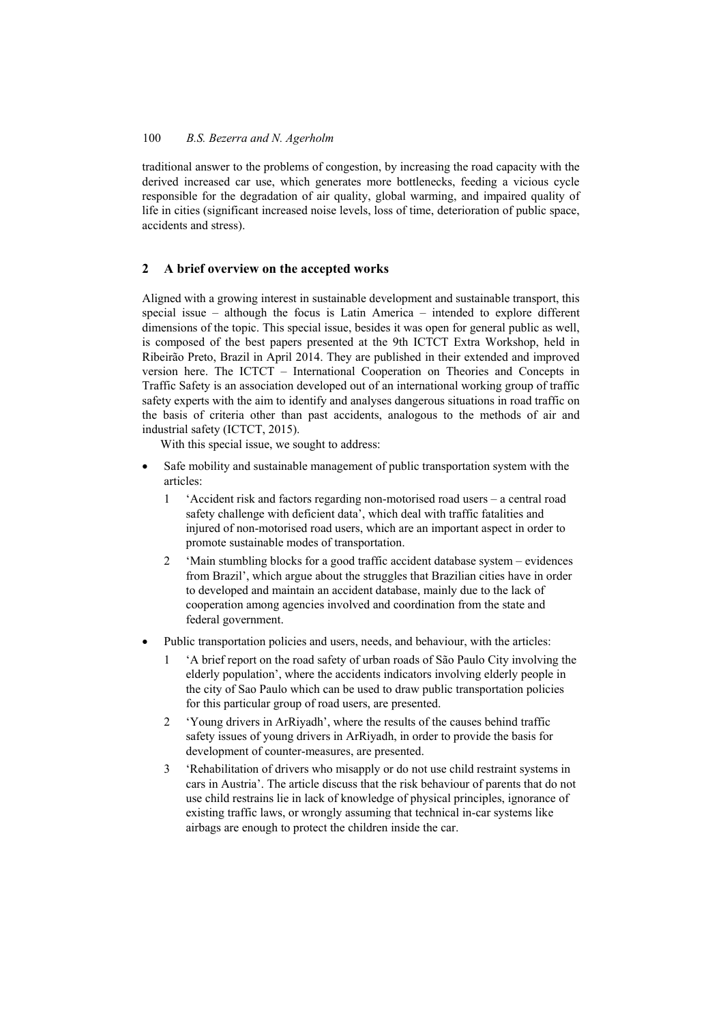### 100 *B.S. Bezerra and N. Agerholm*

traditional answer to the problems of congestion, by increasing the road capacity with the derived increased car use, which generates more bottlenecks, feeding a vicious cycle responsible for the degradation of air quality, global warming, and impaired quality of life in cities (significant increased noise levels, loss of time, deterioration of public space, accidents and stress).

### **2 A brief overview on the accepted works**

Aligned with a growing interest in sustainable development and sustainable transport, this special issue – although the focus is Latin America – intended to explore different dimensions of the topic. This special issue, besides it was open for general public as well, is composed of the best papers presented at the 9th ICTCT Extra Workshop, held in Ribeirão Preto, Brazil in April 2014. They are published in their extended and improved version here. The ICTCT – International Cooperation on Theories and Concepts in Traffic Safety is an association developed out of an international working group of traffic safety experts with the aim to identify and analyses dangerous situations in road traffic on the basis of criteria other than past accidents, analogous to the methods of air and industrial safety (ICTCT, 2015).

With this special issue, we sought to address:

- Safe mobility and sustainable management of public transportation system with the articles:
	- 1 'Accident risk and factors regarding non-motorised road users a central road safety challenge with deficient data', which deal with traffic fatalities and injured of non-motorised road users, which are an important aspect in order to promote sustainable modes of transportation.
	- 2 'Main stumbling blocks for a good traffic accident database system evidences from Brazil', which argue about the struggles that Brazilian cities have in order to developed and maintain an accident database, mainly due to the lack of cooperation among agencies involved and coordination from the state and federal government.
- Public transportation policies and users, needs, and behaviour, with the articles:
	- 1 'A brief report on the road safety of urban roads of São Paulo City involving the elderly population', where the accidents indicators involving elderly people in the city of Sao Paulo which can be used to draw public transportation policies for this particular group of road users, are presented.
	- 2 'Young drivers in ArRiyadh', where the results of the causes behind traffic safety issues of young drivers in ArRiyadh, in order to provide the basis for development of counter-measures, are presented.
	- 3 'Rehabilitation of drivers who misapply or do not use child restraint systems in cars in Austria'. The article discuss that the risk behaviour of parents that do not use child restrains lie in lack of knowledge of physical principles, ignorance of existing traffic laws, or wrongly assuming that technical in-car systems like airbags are enough to protect the children inside the car.